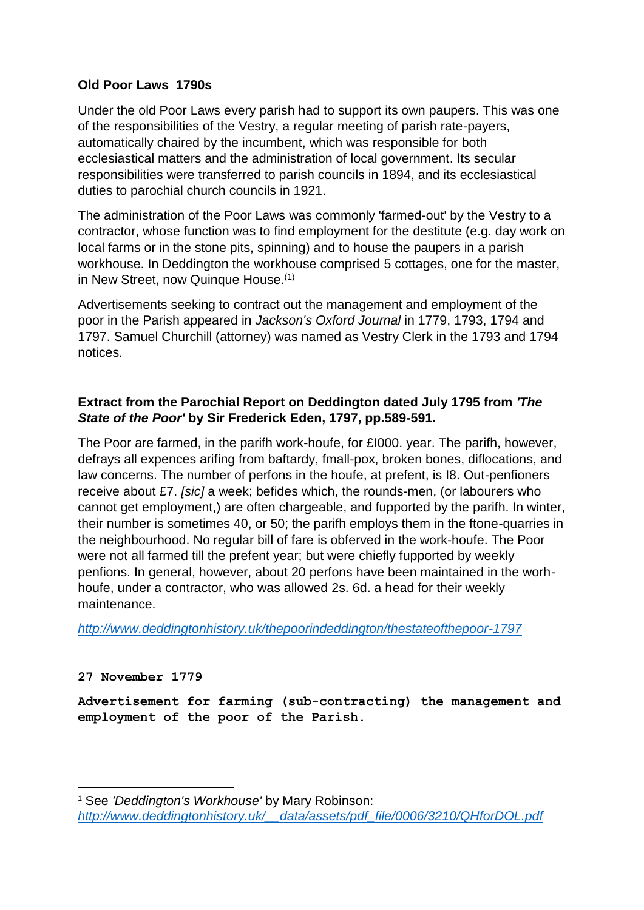## **Old Poor Laws 1790s**

Under the old Poor Laws every parish had to support its own paupers. This was one of the responsibilities of the Vestry, a regular meeting of parish rate-payers, automatically chaired by the incumbent, which was responsible for both ecclesiastical matters and the administration of local government. Its secular responsibilities were transferred to parish councils in 1894, and its ecclesiastical duties to parochial church councils in 1921.

The administration of the Poor Laws was commonly 'farmed-out' by the Vestry to a contractor, whose function was to find employment for the destitute (e.g. day work on local farms or in the stone pits, spinning) and to house the paupers in a parish workhouse. In Deddington the workhouse comprised 5 cottages, one for the master, in New Street, now Quinque House.(1)

Advertisements seeking to contract out the management and employment of the poor in the Parish appeared in *Jackson's Oxford Journal* in 1779, 1793, 1794 and 1797. Samuel Churchill (attorney) was named as Vestry Clerk in the 1793 and 1794 notices.

# **Extract from the Parochial Report on Deddington dated July 1795 from** *'The State of the Poor'* **by Sir Frederick Eden, 1797, pp.589-591.**

The Poor are farmed, in the parifh work-houfe, for £I000. year. The parifh, however, defrays all expences arifing from baftardy, fmall-pox, broken bones, diflocations, and law concerns. The number of perfons in the houfe, at prefent, is I8. Out-penfioners receive about £7. *[sic]* a week; befides which, the rounds-men, (or labourers who cannot get employment,) are often chargeable, and fupported by the parifh. In winter, their number is sometimes 40, or 50; the parifh employs them in the ftone-quarries in the neighbourhood. No regular bill of fare is obferved in the work-houfe. The Poor were not all farmed till the prefent year; but were chiefly fupported by weekly penfions. In general, however, about 20 perfons have been maintained in the worhhoufe, under a contractor, who was allowed 2s. 6d. a head for their weekly maintenance.

*<http://www.deddingtonhistory.uk/thepoorindeddington/thestateofthepoor-1797>*

## **27 November 1779**

**Advertisement for farming (sub-contracting) the management and employment of the poor of the Parish.**

1 <sup>1</sup> See *'Deddington's Workhouse'* by Mary Robinson: *[http://www.deddingtonhistory.uk/\\_\\_data/assets/pdf\\_file/0006/3210/QHforDOL.pdf](http://www.deddingtonhistory.uk/__data/assets/pdf_file/0006/3210/QHforDOL.pdf)*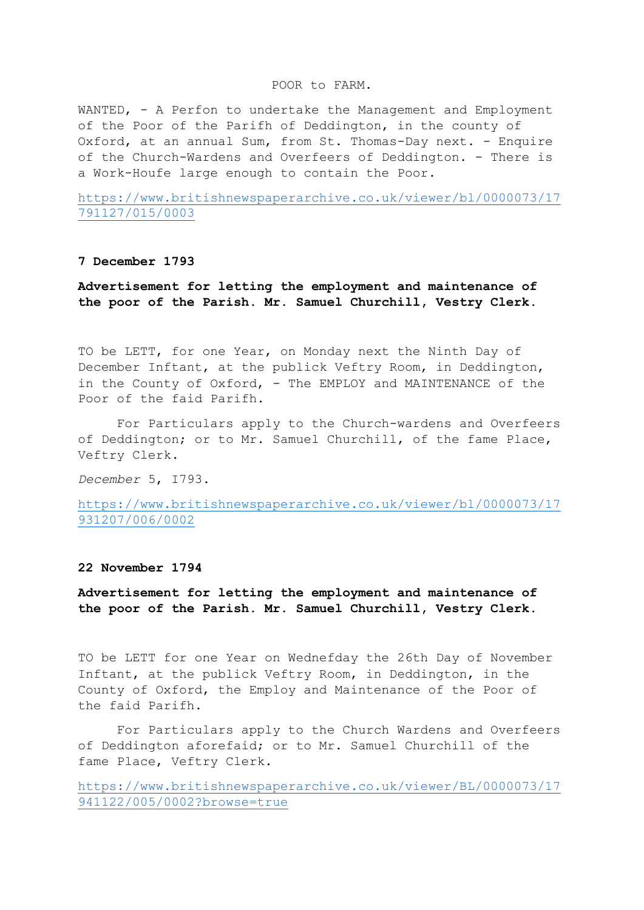#### POOR to FARM.

WANTED, - A Perfon to undertake the Management and Employment of the Poor of the Parifh of Deddington, in the county of Oxford, at an annual Sum, from St. Thomas-Day next. - Enquire of the Church-Wardens and Overfeers of Deddington. - There is a Work-Houfe large enough to contain the Poor.

[https://www.britishnewspaperarchive.co.uk/viewer/bl/0000073/17](https://www.britishnewspaperarchive.co.uk/viewer/bl/0000073/17791127/015/0003) [791127/015/0003](https://www.britishnewspaperarchive.co.uk/viewer/bl/0000073/17791127/015/0003)

### **7 December 1793**

**Advertisement for letting the employment and maintenance of the poor of the Parish. Mr. Samuel Churchill, Vestry Clerk.**

TO be LETT, for one Year, on Monday next the Ninth Day of December Inftant, at the publick Veftry Room, in Deddington, in the County of Oxford, - The EMPLOY and MAINTENANCE of the Poor of the faid Parifh.

For Particulars apply to the Church-wardens and Overfeers of Deddington; or to Mr. Samuel Churchill, of the fame Place, Veftry Clerk.

*December* 5, I793.

[https://www.britishnewspaperarchive.co.uk/viewer/bl/0000073/17](https://www.britishnewspaperarchive.co.uk/viewer/bl/0000073/17931207/006/0002) [931207/006/0002](https://www.britishnewspaperarchive.co.uk/viewer/bl/0000073/17931207/006/0002)

### **22 November 1794**

**Advertisement for letting the employment and maintenance of the poor of the Parish. Mr. Samuel Churchill, Vestry Clerk.**

TO be LETT for one Year on Wednefday the 26th Day of November Inftant, at the publick Veftry Room, in Deddington, in the County of Oxford, the Employ and Maintenance of the Poor of the faid Parifh.

For Particulars apply to the Church Wardens and Overfeers of Deddington aforefaid; or to Mr. Samuel Churchill of the fame Place, Veftry Clerk.

[https://www.britishnewspaperarchive.co.uk/viewer/BL/0000073/17](https://www.britishnewspaperarchive.co.uk/viewer/BL/0000073/17941122/005/0002?browse=true) [941122/005/0002?browse=true](https://www.britishnewspaperarchive.co.uk/viewer/BL/0000073/17941122/005/0002?browse=true)